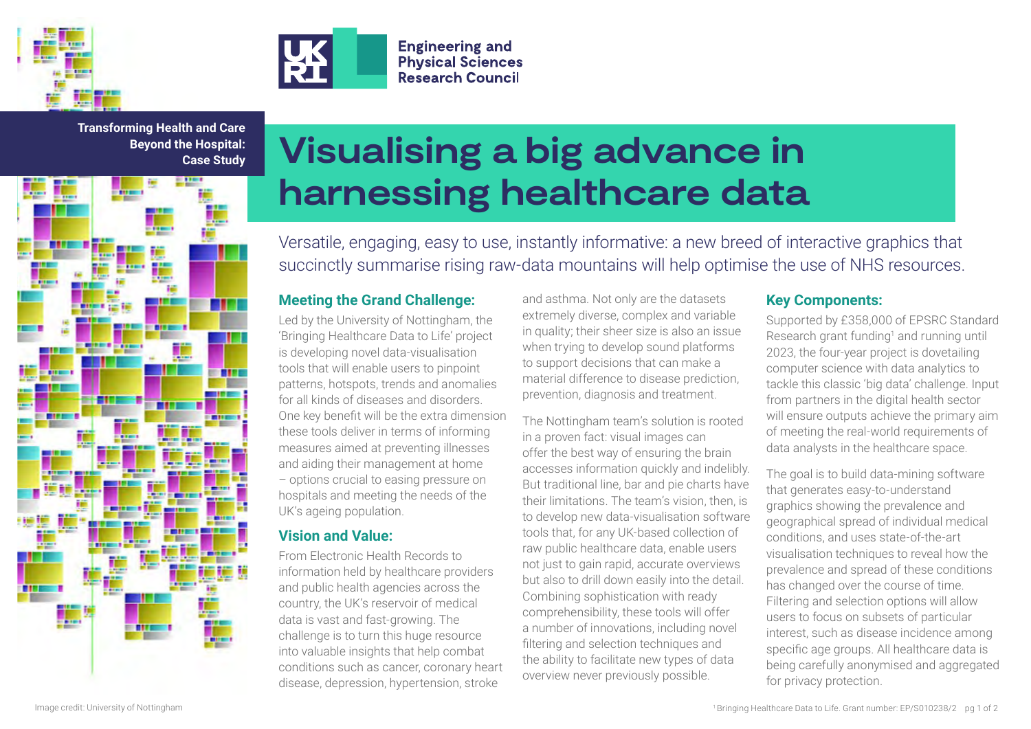



**Transforming Health and Care Beyond the Hospital: Case Study**



# **Visualising a big advance in harnessing healthcare data**

**Engineering and Physical Sciences Research Council** 

Versatile, engaging, easy to use, instantly informative: a new breed of interactive graphics that succinctly summarise rising raw-data mountains will help optimise the use of NHS resources.

## **Meeting the Grand Challenge:**

Led by the University of Nottingham, the 'Bringing Healthcare Data to Life' project is developing novel data-visualisation tools that will enable users to pinpoint patterns, hotspots, trends and anomalies for all kinds of diseases and disorders. One key benefit will be the extra dimension these tools deliver in terms of informing measures aimed at preventing illnesses and aiding their management at home – options crucial to easing pressure on hospitals and meeting the needs of the UK's ageing population.

## **Vision and Value:**

From Electronic Health Records to information held by healthcare providers and public health agencies across the country, the UK's reservoir of medical data is vast and fast-growing. The challenge is to turn this huge resource into valuable insights that help combat conditions such as cancer, coronary heart disease, depression, hypertension, stroke

and asthma. Not only are the datasets extremely diverse, complex and variable in quality; their sheer size is also an issue when trying to develop sound platforms to support decisions that can make a material difference to disease prediction, prevention, diagnosis and treatment.

The Nottingham team's solution is rooted in a proven fact: visual images can offer the best way of ensuring the brain accesses information quickly and indelibly. But traditional line, bar and pie charts have their limitations. The team's vision, then, is to develop new data-visualisation software tools that, for any UK-based collection of raw public healthcare data, enable users not just to gain rapid, accurate overviews but also to drill down easily into the detail. Combining sophistication with ready comprehensibility, these tools will offer a number of innovations, including novel filtering and selection techniques and the ability to facilitate new types of data overview never previously possible.

#### **Key Components:**

Supported by £358,000 of EPSRC Standard Research grant funding<sup>1</sup> and running until 2023, the four-year project is dovetailing computer science with data analytics to tackle this classic 'big data' challenge. Input from partners in the digital health sector will ensure outputs achieve the primary aim of meeting the real-world requirements of data analysts in the healthcare space.

The goal is to build data-mining software that generates easy-to-understand graphics showing the prevalence and geographical spread of individual medical conditions, and uses state-of-the-art visualisation techniques to reveal how the prevalence and spread of these conditions has changed over the course of time. Filtering and selection options will allow users to focus on subsets of particular interest, such as disease incidence among specific age groups. All healthcare data is being carefully anonymised and aggregated for privacy protection.